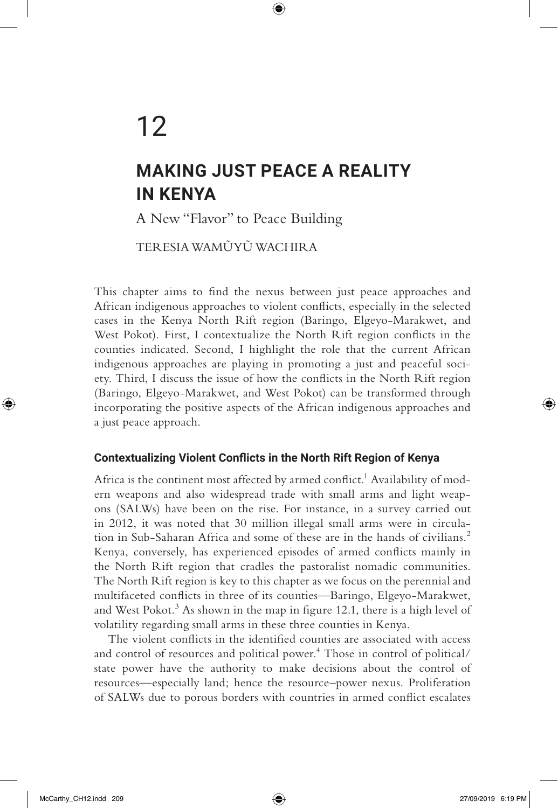# 12

## **MAKING JUST PEACE A REALITY IN KENYA**

 $\textcircled{\scriptsize{+}}$ 

A New "Flavor" to Peace Building

TER ESIA WAMŨYŨ WACHIR A

This chapter aims to find the nexus between just peace approaches and African indigenous approaches to violent conflicts, especially in the selected cases in the Kenya North Rift region (Baringo, Elgeyo-Marakwet, and West Pokot). First, I contextualize the North Rift region conflicts in the counties indicated. Second, I highlight the role that the current African indigenous approaches are playing in promoting a just and peaceful society. Third, I discuss the issue of how the conflicts in the North Rift region (Baringo, Elgeyo-Marakwet, and West Pokot) can be transformed through incorporating the positive aspects of the African indigenous approaches and a just peace approach.

#### **Contextualizing Violent Conflicts in the North Rift Region of Kenya**

Africa is the continent most affected by armed conflict.<sup>1</sup> Availability of modern weapons and also widespread trade with small arms and light weapons (SALWs) have been on the rise. For instance, in a survey carried out in 2012, it was noted that 30 million illegal small arms were in circulation in Sub-Saharan Africa and some of these are in the hands of civilians.<sup>2</sup> Kenya, conversely, has experienced episodes of armed conflicts mainly in the North Rift region that cradles the pastoralist nomadic communities. The North Rift region is key to this chapter as we focus on the perennial and multifaceted conflicts in three of its counties—Baringo, Elgeyo-Marakwet, and West Pokot.<sup>3</sup> As shown in the map in figure 12.1, there is a high level of volatility regarding small arms in these three counties in Kenya.

The violent conflicts in the identified counties are associated with access and control of resources and political power.<sup>4</sup> Those in control of political/ state power have the authority to make decisions about the control of resources—especially land; hence the resource–power nexus. Proliferation of SALWs due to porous borders with countries in armed conflict escalates

⊕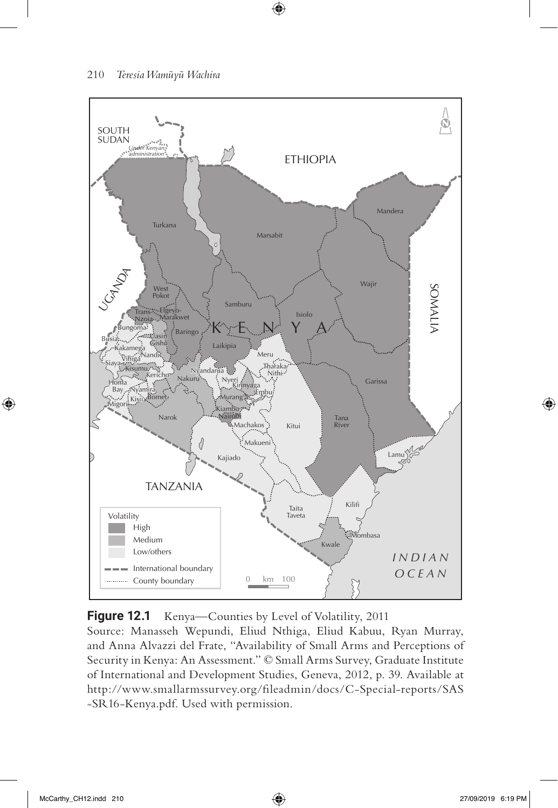

 $\bigoplus$ 



Source: Manasseh Wepundi, Eliud Nthiga, Eliud Kabuu, Ryan Murray, and Anna Alvazzi del Frate, "Availability of Small Arms and Perceptions of Security in Kenya: An Assessment." © Small Arms Survey, Graduate Institute of International and Development Studies, Geneva, 2012, p. 39. Available at http://www.smallarmssurvey.org/fileadmin/docs/C-Special-reports/SAS -SR16-Kenya.pdf. Used with permission.

⊕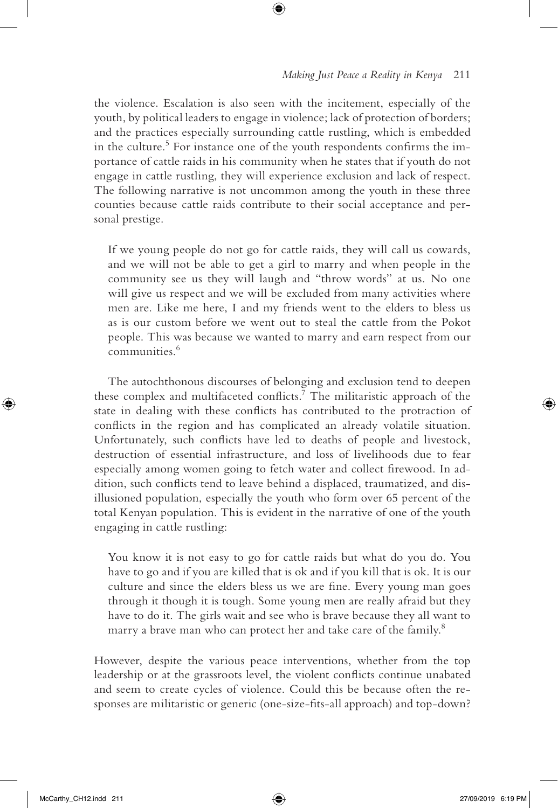#### *Making Just Peace a Reality in Kenya* 211

the violence. Escalation is also seen with the incitement, especially of the youth, by political leaders to engage in violence; lack of protection of borders; and the practices especially surrounding cattle rustling, which is embedded in the culture.<sup>5</sup> For instance one of the youth respondents confirms the importance of cattle raids in his community when he states that if youth do not engage in cattle rustling, they will experience exclusion and lack of respect. The following narrative is not uncommon among the youth in these three counties because cattle raids contribute to their social acceptance and personal prestige.

 $\textcircled{\scriptsize{+}}$ 

If we young people do not go for cattle raids, they will call us cowards, and we will not be able to get a girl to marry and when people in the community see us they will laugh and "throw words" at us. No one will give us respect and we will be excluded from many activities where men are. Like me here, I and my friends went to the elders to bless us as is our custom before we went out to steal the cattle from the Pokot people. This was because we wanted to marry and earn respect from our communities.<sup>6</sup>

The autochthonous discourses of belonging and exclusion tend to deepen these complex and multifaceted conflicts.<sup>7</sup> The militaristic approach of the state in dealing with these conflicts has contributed to the protraction of conflicts in the region and has complicated an already volatile situation. Unfortunately, such conflicts have led to deaths of people and livestock, destruction of essential infrastructure, and loss of livelihoods due to fear especially among women going to fetch water and collect firewood. In addition, such conflicts tend to leave behind a displaced, traumatized, and disillusioned population, especially the youth who form over 65 percent of the total Kenyan population. This is evident in the narrative of one of the youth engaging in cattle rustling:

You know it is not easy to go for cattle raids but what do you do. You have to go and if you are killed that is ok and if you kill that is ok. It is our culture and since the elders bless us we are fine. Every young man goes through it though it is tough. Some young men are really afraid but they have to do it. The girls wait and see who is brave because they all want to marry a brave man who can protect her and take care of the family.<sup>8</sup>

However, despite the various peace interventions, whether from the top leadership or at the grassroots level, the violent conflicts continue unabated and seem to create cycles of violence. Could this be because often the responses are militaristic or generic (one-size-fits-all approach) and top-down?

⊕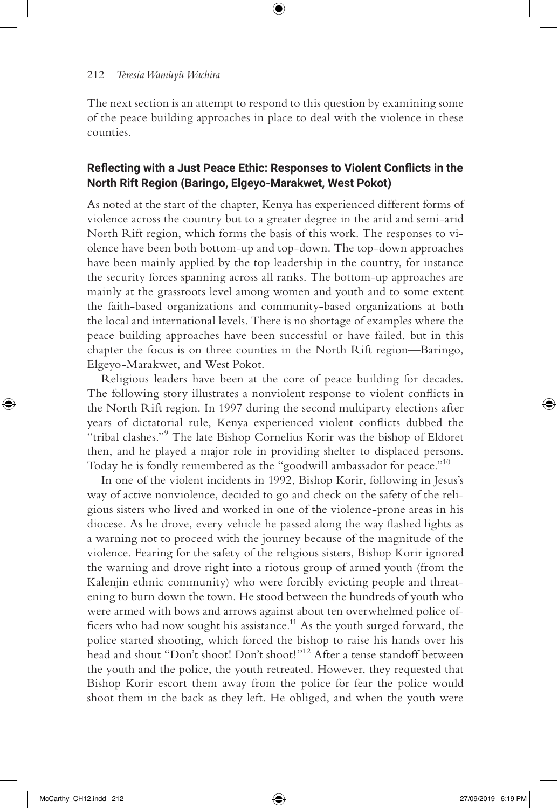The next section is an attempt to respond to this question by examining some of the peace building approaches in place to deal with the violence in these counties.

⊕

#### **Reflecting with a Just Peace Ethic: Responses to Violent Conflicts in the North Rift Region (Baringo, Elgeyo-Marakwet, West Pokot)**

As noted at the start of the chapter, Kenya has experienced different forms of violence across the country but to a greater degree in the arid and semi-arid North Rift region, which forms the basis of this work. The responses to violence have been both bottom-up and top-down. The top-down approaches have been mainly applied by the top leadership in the country, for instance the security forces spanning across all ranks. The bottom-up approaches are mainly at the grassroots level among women and youth and to some extent the faith-based organizations and community-based organizations at both the local and international levels. There is no shortage of examples where the peace building approaches have been successful or have failed, but in this chapter the focus is on three counties in the North Rift region—Baringo, Elgeyo-Marakwet, and West Pokot.

Religious leaders have been at the core of peace building for decades. The following story illustrates a nonviolent response to violent conflicts in the North Rift region. In 1997 during the second multiparty elections after years of dictatorial rule, Kenya experienced violent conflicts dubbed the "tribal clashes."<sup>9</sup> The late Bishop Cornelius Korir was the bishop of Eldoret then, and he played a major role in providing shelter to displaced persons. Today he is fondly remembered as the "goodwill ambassador for peace."<sup>10</sup>

In one of the violent incidents in 1992, Bishop Korir, following in Jesus's way of active nonviolence, decided to go and check on the safety of the religious sisters who lived and worked in one of the violence-prone areas in his diocese. As he drove, every vehicle he passed along the way flashed lights as a warning not to proceed with the journey because of the magnitude of the violence. Fearing for the safety of the religious sisters, Bishop Korir ignored the warning and drove right into a riotous group of armed youth (from the Kalenjin ethnic community) who were forcibly evicting people and threatening to burn down the town. He stood between the hundreds of youth who were armed with bows and arrows against about ten overwhelmed police officers who had now sought his assistance.<sup>11</sup> As the youth surged forward, the police started shooting, which forced the bishop to raise his hands over his head and shout "Don't shoot! Don't shoot!"<sup>12</sup> After a tense standoff between the youth and the police, the youth retreated. However, they requested that Bishop Korir escort them away from the police for fear the police would shoot them in the back as they left. He obliged, and when the youth were

⊕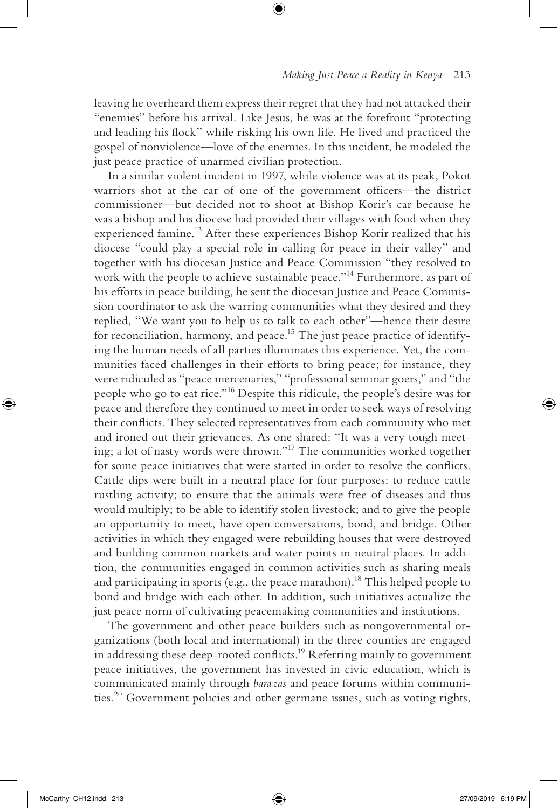leaving he overheard them express their regret that they had not attacked their "enemies" before his arrival. Like Jesus, he was at the forefront "protecting and leading his flock" while risking his own life. He lived and practiced the gospel of nonviolence—love of the enemies. In this incident, he modeled the just peace practice of unarmed civilian protection.

 $\textcircled{\scriptsize{+}}$ 

In a similar violent incident in 1997, while violence was at its peak, Pokot warriors shot at the car of one of the government officers—the district commissioner—but decided not to shoot at Bishop Korir's car because he was a bishop and his diocese had provided their villages with food when they experienced famine.<sup>13</sup> After these experiences Bishop Korir realized that his diocese "could play a special role in calling for peace in their valley" and together with his diocesan Justice and Peace Commission "they resolved to work with the people to achieve sustainable peace."<sup>14</sup> Furthermore, as part of his efforts in peace building, he sent the diocesan Justice and Peace Commission coordinator to ask the warring communities what they desired and they replied, "We want you to help us to talk to each other"—hence their desire for reconciliation, harmony, and peace.<sup>15</sup> The just peace practice of identifying the human needs of all parties illuminates this experience. Yet, the communities faced challenges in their efforts to bring peace; for instance, they were ridiculed as "peace mercenaries," "professional seminar goers," and "the people who go to eat rice."16 Despite this ridicule, the people's desire was for peace and therefore they continued to meet in order to seek ways of resolving their conflicts. They selected representatives from each community who met and ironed out their grievances. As one shared: "It was a very tough meeting; a lot of nasty words were thrown."17 The communities worked together for some peace initiatives that were started in order to resolve the conflicts. Cattle dips were built in a neutral place for four purposes: to reduce cattle rustling activity; to ensure that the animals were free of diseases and thus would multiply; to be able to identify stolen livestock; and to give the people an opportunity to meet, have open conversations, bond, and bridge. Other activities in which they engaged were rebuilding houses that were destroyed and building common markets and water points in neutral places. In addition, the communities engaged in common activities such as sharing meals and participating in sports (e.g., the peace marathon).<sup>18</sup> This helped people to bond and bridge with each other. In addition, such initiatives actualize the just peace norm of cultivating peacemaking communities and institutions.

The government and other peace builders such as nongovernmental organizations (both local and international) in the three counties are engaged in addressing these deep-rooted conflicts.<sup>19</sup> Referring mainly to government peace initiatives, the government has invested in civic education, which is communicated mainly through *barazas* and peace forums within communities.20 Government policies and other germane issues, such as voting rights,

⊕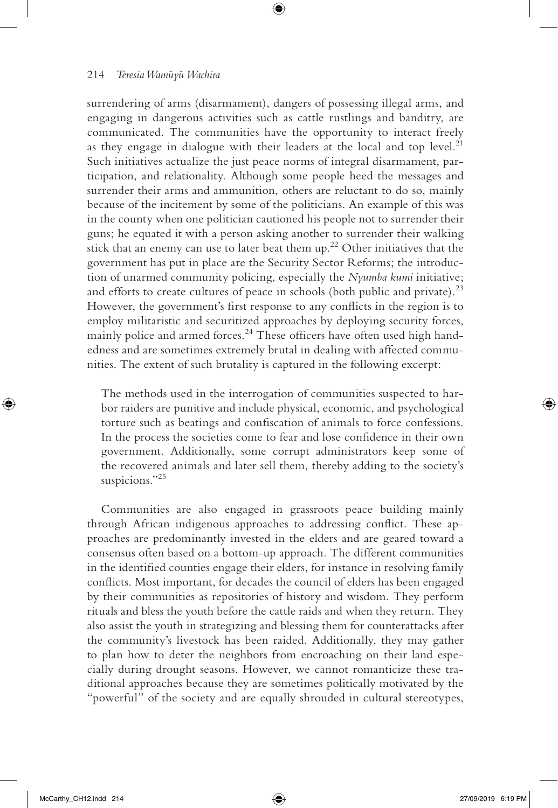surrendering of arms (disarmament), dangers of possessing illegal arms, and engaging in dangerous activities such as cattle rustlings and banditry, are communicated. The communities have the opportunity to interact freely as they engage in dialogue with their leaders at the local and top level. $21$ Such initiatives actualize the just peace norms of integral disarmament, participation, and relationality. Although some people heed the messages and surrender their arms and ammunition, others are reluctant to do so, mainly because of the incitement by some of the politicians. An example of this was in the county when one politician cautioned his people not to surrender their guns; he equated it with a person asking another to surrender their walking stick that an enemy can use to later beat them up.<sup>22</sup> Other initiatives that the government has put in place are the Security Sector Reforms; the introduction of unarmed community policing, especially the *Nyumba kumi* initiative; and efforts to create cultures of peace in schools (both public and private).<sup>23</sup> However, the government's first response to any conflicts in the region is to employ militaristic and securitized approaches by deploying security forces, mainly police and armed forces.<sup>24</sup> These officers have often used high handedness and are sometimes extremely brutal in dealing with affected communities. The extent of such brutality is captured in the following excerpt:

⊕

The methods used in the interrogation of communities suspected to harbor raiders are punitive and include physical, economic, and psychological torture such as beatings and confiscation of animals to force confessions. In the process the societies come to fear and lose confidence in their own government. Additionally, some corrupt administrators keep some of the recovered animals and later sell them, thereby adding to the society's suspicions."<sup>25</sup>

Communities are also engaged in grassroots peace building mainly through African indigenous approaches to addressing conflict. These approaches are predominantly invested in the elders and are geared toward a consensus often based on a bottom-up approach. The different communities in the identified counties engage their elders, for instance in resolving family conflicts. Most important, for decades the council of elders has been engaged by their communities as repositories of history and wisdom. They perform rituals and bless the youth before the cattle raids and when they return. They also assist the youth in strategizing and blessing them for counterattacks after the community's livestock has been raided. Additionally, they may gather to plan how to deter the neighbors from encroaching on their land especially during drought seasons. However, we cannot romanticize these traditional approaches because they are sometimes politically motivated by the "powerful" of the society and are equally shrouded in cultural stereotypes,

⊕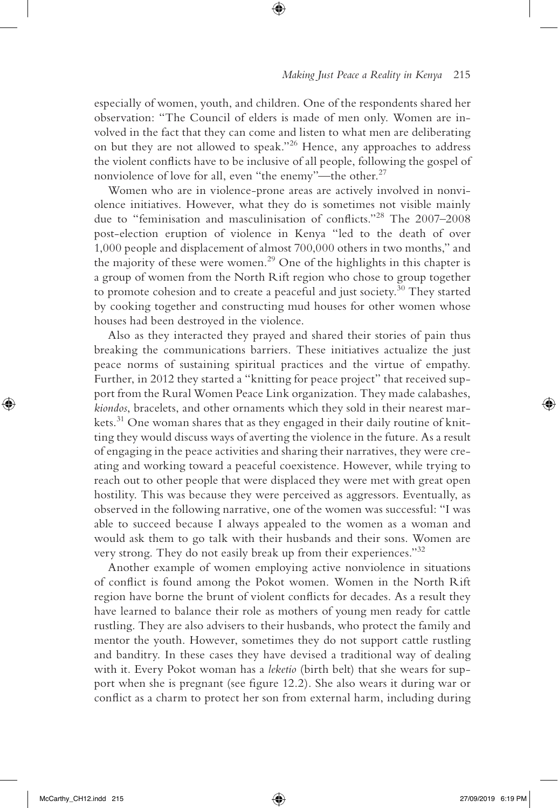especially of women, youth, and children. One of the respondents shared her observation: "The Council of elders is made of men only. Women are involved in the fact that they can come and listen to what men are deliberating on but they are not allowed to speak."26 Hence, any approaches to address the violent conflicts have to be inclusive of all people, following the gospel of nonviolence of love for all, even "the enemy"—the other.<sup>27</sup>

 $\textcircled{\scriptsize{+}}$ 

Women who are in violence-prone areas are actively involved in nonviolence initiatives. However, what they do is sometimes not visible mainly due to "feminisation and masculinisation of conflicts."28 The 2007–2008 post-election eruption of violence in Kenya "led to the death of over 1,000 people and displacement of almost 700,000 others in two months," and the majority of these were women.29 One of the highlights in this chapter is a group of women from the North Rift region who chose to group together to promote cohesion and to create a peaceful and just society.<sup>30</sup> They started by cooking together and constructing mud houses for other women whose houses had been destroyed in the violence.

Also as they interacted they prayed and shared their stories of pain thus breaking the communications barriers. These initiatives actualize the just peace norms of sustaining spiritual practices and the virtue of empathy. Further, in 2012 they started a "knitting for peace project" that received support from the Rural Women Peace Link organization. They made calabashes, *kiondos*, bracelets, and other ornaments which they sold in their nearest markets.<sup>31</sup> One woman shares that as they engaged in their daily routine of knitting they would discuss ways of averting the violence in the future. As a result of engaging in the peace activities and sharing their narratives, they were creating and working toward a peaceful coexistence. However, while trying to reach out to other people that were displaced they were met with great open hostility. This was because they were perceived as aggressors. Eventually, as observed in the following narrative, one of the women was successful: "I was able to succeed because I always appealed to the women as a woman and would ask them to go talk with their husbands and their sons. Women are very strong. They do not easily break up from their experiences."<sup>32</sup>

Another example of women employing active nonviolence in situations of conflict is found among the Pokot women. Women in the North Rift region have borne the brunt of violent conflicts for decades. As a result they have learned to balance their role as mothers of young men ready for cattle rustling. They are also advisers to their husbands, who protect the family and mentor the youth. However, sometimes they do not support cattle rustling and banditry. In these cases they have devised a traditional way of dealing with it. Every Pokot woman has a *leketio* (birth belt) that she wears for support when she is pregnant (see figure 12.2). She also wears it during war or conflict as a charm to protect her son from external harm, including during

⊕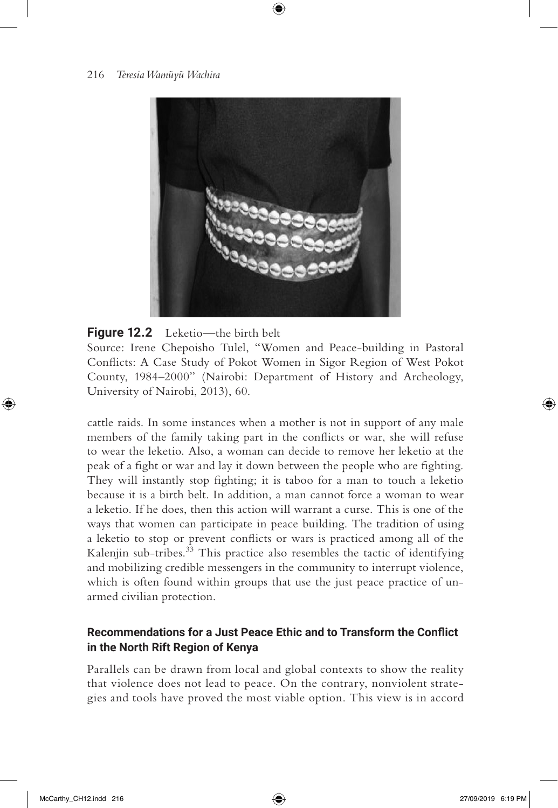

⊕

**Figure 12.2** Leketio—the birth belt Source: Irene Chepoisho Tulel, "Women and Peace-building in Pastoral Conflicts: A Case Study of Pokot Women in Sigor Region of West Pokot County, 1984–2000" (Nairobi: Department of History and Archeology, University of Nairobi, 2013), 60.

cattle raids. In some instances when a mother is not in support of any male members of the family taking part in the conflicts or war, she will refuse to wear the leketio. Also, a woman can decide to remove her leketio at the peak of a fight or war and lay it down between the people who are fighting. They will instantly stop fighting; it is taboo for a man to touch a leketio because it is a birth belt. In addition, a man cannot force a woman to wear a leketio. If he does, then this action will warrant a curse. This is one of the ways that women can participate in peace building. The tradition of using a leketio to stop or prevent conflicts or wars is practiced among all of the Kalenjin sub-tribes.<sup>33</sup> This practice also resembles the tactic of identifying and mobilizing credible messengers in the community to interrupt violence, which is often found within groups that use the just peace practice of unarmed civilian protection.

#### **Recommendations for a Just Peace Ethic and to Transform the Conflict in the North Rift Region of Kenya**

Parallels can be drawn from local and global contexts to show the reality that violence does not lead to peace. On the contrary, nonviolent strategies and tools have proved the most viable option. This view is in accord

⊕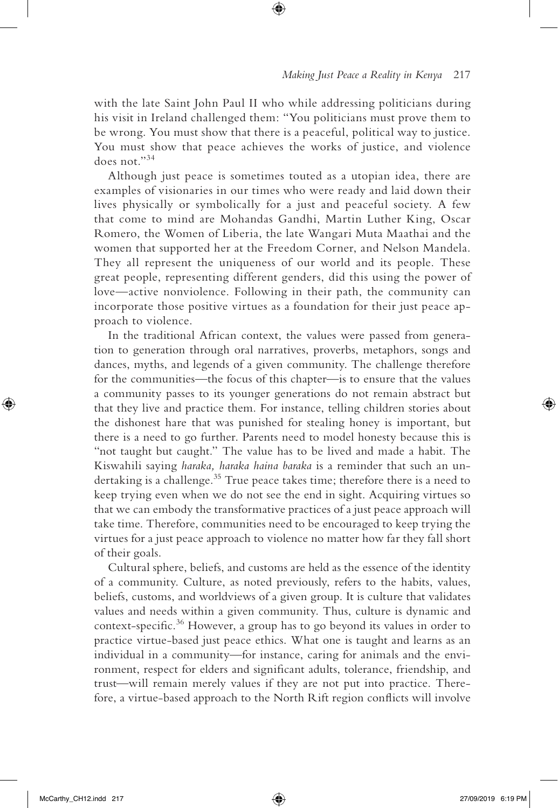with the late Saint John Paul II who while addressing politicians during his visit in Ireland challenged them: "You politicians must prove them to be wrong. You must show that there is a peaceful, political way to justice. You must show that peace achieves the works of justice, and violence does not."<sup>34</sup>

 $\textcircled{\scriptsize{+}}$ 

Although just peace is sometimes touted as a utopian idea, there are examples of visionaries in our times who were ready and laid down their lives physically or symbolically for a just and peaceful society. A few that come to mind are Mohandas Gandhi, Martin Luther King, Oscar Romero, the Women of Liberia, the late Wangari Muta Maathai and the women that supported her at the Freedom Corner, and Nelson Mandela. They all represent the uniqueness of our world and its people. These great people, representing different genders, did this using the power of love—active nonviolence. Following in their path, the community can incorporate those positive virtues as a foundation for their just peace approach to violence.

In the traditional African context, the values were passed from generation to generation through oral narratives, proverbs, metaphors, songs and dances, myths, and legends of a given community. The challenge therefore for the communities—the focus of this chapter—is to ensure that the values a community passes to its younger generations do not remain abstract but that they live and practice them. For instance, telling children stories about the dishonest hare that was punished for stealing honey is important, but there is a need to go further. Parents need to model honesty because this is "not taught but caught." The value has to be lived and made a habit. The Kiswahili saying *haraka, haraka haina baraka* is a reminder that such an undertaking is a challenge.<sup>35</sup> True peace takes time; therefore there is a need to keep trying even when we do not see the end in sight. Acquiring virtues so that we can embody the transformative practices of a just peace approach will take time. Therefore, communities need to be encouraged to keep trying the virtues for a just peace approach to violence no matter how far they fall short of their goals.

Cultural sphere, beliefs, and customs are held as the essence of the identity of a community. Culture, as noted previously, refers to the habits, values, beliefs, customs, and worldviews of a given group. It is culture that validates values and needs within a given community. Thus, culture is dynamic and context-specific.<sup>36</sup> However, a group has to go beyond its values in order to practice virtue-based just peace ethics. What one is taught and learns as an individual in a community—for instance, caring for animals and the environment, respect for elders and significant adults, tolerance, friendship, and trust—will remain merely values if they are not put into practice. Therefore, a virtue-based approach to the North Rift region conflicts will involve

⊕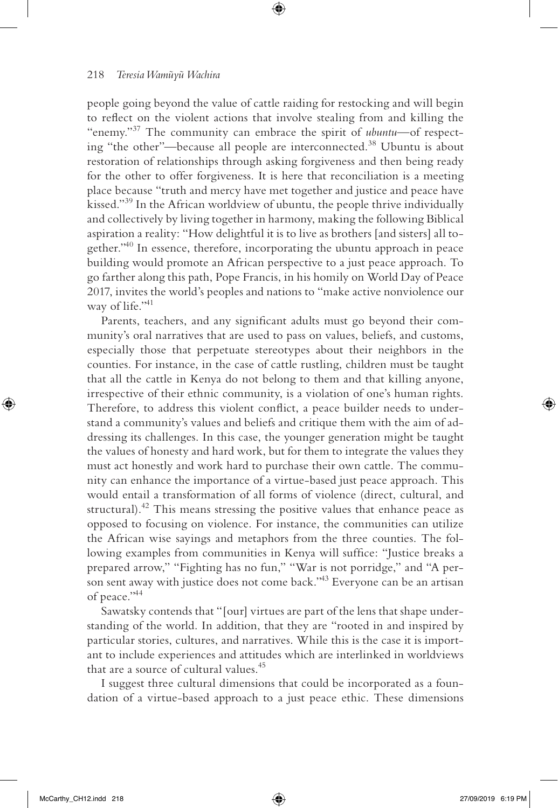people going beyond the value of cattle raiding for restocking and will begin to reflect on the violent actions that involve stealing from and killing the "enemy."37 The community can embrace the spirit of *ubuntu*—of respecting "the other"—because all people are interconnected.38 Ubuntu is about restoration of relationships through asking forgiveness and then being ready for the other to offer forgiveness. It is here that reconciliation is a meeting place because "truth and mercy have met together and justice and peace have kissed."<sup>39</sup> In the African worldview of ubuntu, the people thrive individually and collectively by living together in harmony, making the following Biblical aspiration a reality: "How delightful it is to live as brothers [and sisters] all together."<sup>40</sup> In essence, therefore, incorporating the ubuntu approach in peace building would promote an African perspective to a just peace approach. To go farther along this path, Pope Francis, in his homily on World Day of Peace 2017, invites the world's peoples and nations to "make active nonviolence our way of life."<sup>41</sup>

⊕

Parents, teachers, and any significant adults must go beyond their community's oral narratives that are used to pass on values, beliefs, and customs, especially those that perpetuate stereotypes about their neighbors in the counties. For instance, in the case of cattle rustling, children must be taught that all the cattle in Kenya do not belong to them and that killing anyone, irrespective of their ethnic community, is a violation of one's human rights. Therefore, to address this violent conflict, a peace builder needs to understand a community's values and beliefs and critique them with the aim of addressing its challenges. In this case, the younger generation might be taught the values of honesty and hard work, but for them to integrate the values they must act honestly and work hard to purchase their own cattle. The community can enhance the importance of a virtue-based just peace approach. This would entail a transformation of all forms of violence (direct, cultural, and structural). $42$  This means stressing the positive values that enhance peace as opposed to focusing on violence. For instance, the communities can utilize the African wise sayings and metaphors from the three counties. The following examples from communities in Kenya will suffice: "Justice breaks a prepared arrow," "Fighting has no fun," "War is not porridge," and "A person sent away with justice does not come back."<sup>43</sup> Everyone can be an artisan of peace."44

Sawatsky contends that "[our] virtues are part of the lens that shape understanding of the world. In addition, that they are "rooted in and inspired by particular stories, cultures, and narratives. While this is the case it is important to include experiences and attitudes which are interlinked in worldviews that are a source of cultural values.<sup>45</sup>

I suggest three cultural dimensions that could be incorporated as a foundation of a virtue-based approach to a just peace ethic. These dimensions

⊕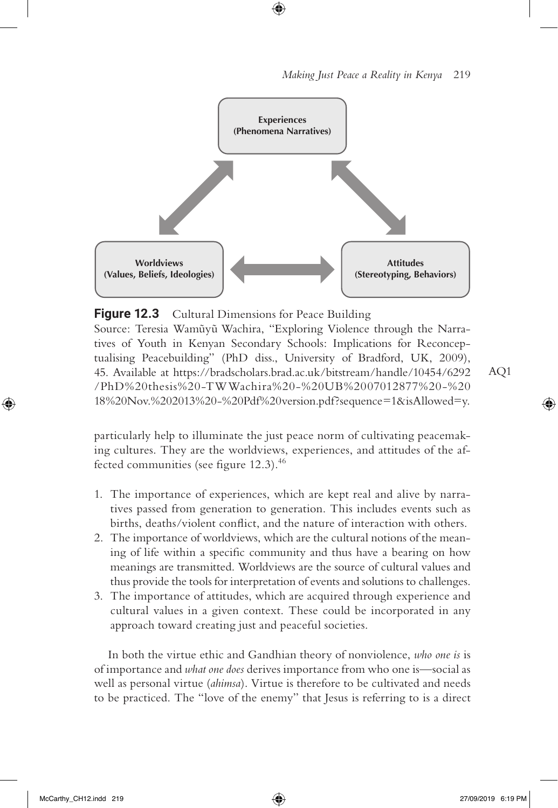



 $\textcircled{\scriptsize{+}}$ 

**Figure 12.3** Cultural Dimensions for Peace Building

Source: Teresia Wamũyũ Wachira, "Exploring Violence through the Narratives of Youth in Kenyan Secondary Schools: Implications for Reconceptualising Peacebuilding" (PhD diss., University of Bradford, UK, 2009), 45. Available at https://bradscholars.brad.ac.uk/bitstream/handle/10454/6292 /PhD%20thesis%20-TWWachira%20-%20UB%2007012877%20-%20 18%20Nov.%202013%20-%20Pdf%20version.pdf?sequence=1&isAllowed=y.

particularly help to illuminate the just peace norm of cultivating peacemaking cultures. They are the worldviews, experiences, and attitudes of the affected communities (see figure 12.3).<sup>46</sup>

- 1. The importance of experiences, which are kept real and alive by narratives passed from generation to generation. This includes events such as births, deaths/violent conflict, and the nature of interaction with others.
- 2. The importance of worldviews, which are the cultural notions of the meaning of life within a specific community and thus have a bearing on how meanings are transmitted. Worldviews are the source of cultural values and thus provide the tools for interpretation of events and solutions to challenges.
- 3. The importance of attitudes, which are acquired through experience and cultural values in a given context. These could be incorporated in any approach toward creating just and peaceful societies.

In both the virtue ethic and Gandhian theory of nonviolence, *who one is* is of importance and *what one does* derives importance from who one is—social as well as personal virtue (*ahimsa*). Virtue is therefore to be cultivated and needs to be practiced. The "love of the enemy" that Jesus is referring to is a direct AQ1

↔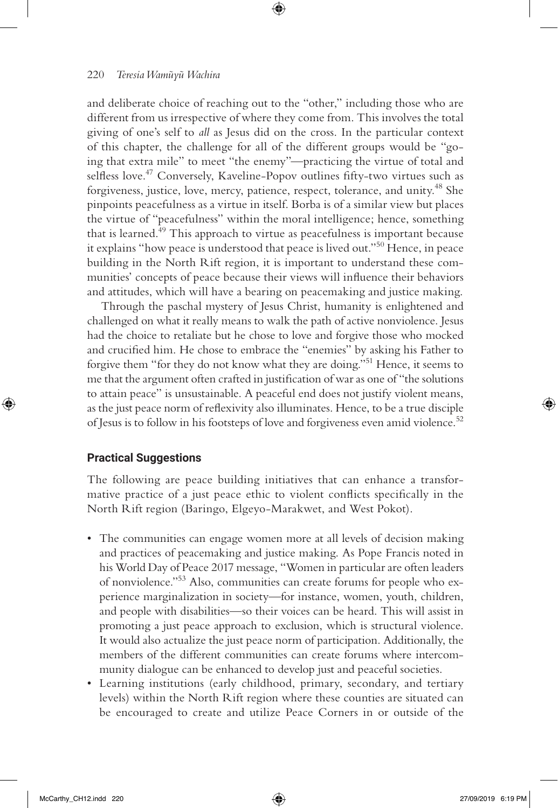and deliberate choice of reaching out to the "other," including those who are different from us irrespective of where they come from. This involves the total giving of one's self to *all* as Jesus did on the cross. In the particular context of this chapter, the challenge for all of the different groups would be "going that extra mile" to meet "the enemy"—practicing the virtue of total and selfless love.<sup>47</sup> Conversely, Kaveline-Popov outlines fifty-two virtues such as forgiveness, justice, love, mercy, patience, respect, tolerance, and unity.<sup>48</sup> She pinpoints peacefulness as a virtue in itself. Borba is of a similar view but places the virtue of "peacefulness" within the moral intelligence; hence, something that is learned.<sup>49</sup> This approach to virtue as peacefulness is important because it explains "how peace is understood that peace is lived out."50 Hence, in peace building in the North Rift region, it is important to understand these communities' concepts of peace because their views will influence their behaviors and attitudes, which will have a bearing on peacemaking and justice making.

⊕

Through the paschal mystery of Jesus Christ, humanity is enlightened and challenged on what it really means to walk the path of active nonviolence. Jesus had the choice to retaliate but he chose to love and forgive those who mocked and crucified him. He chose to embrace the "enemies" by asking his Father to forgive them "for they do not know what they are doing."51 Hence, it seems to me that the argument often crafted in justification of war as one of "the solutions to attain peace" is unsustainable. A peaceful end does not justify violent means, as the just peace norm of reflexivity also illuminates. Hence, to be a true disciple of Jesus is to follow in his footsteps of love and forgiveness even amid violence.<sup>52</sup>

#### **Practical Suggestions**

 $\bigoplus$ 

The following are peace building initiatives that can enhance a transformative practice of a just peace ethic to violent conflicts specifically in the North Rift region (Baringo, Elgeyo-Marakwet, and West Pokot).

- The communities can engage women more at all levels of decision making and practices of peacemaking and justice making. As Pope Francis noted in his World Day of Peace 2017 message, "Women in particular are often leaders of nonviolence."53 Also, communities can create forums for people who experience marginalization in society—for instance, women, youth, children, and people with disabilities—so their voices can be heard. This will assist in promoting a just peace approach to exclusion, which is structural violence. It would also actualize the just peace norm of participation. Additionally, the members of the different communities can create forums where intercommunity dialogue can be enhanced to develop just and peaceful societies.
- Learning institutions (early childhood, primary, secondary, and tertiary levels) within the North Rift region where these counties are situated can be encouraged to create and utilize Peace Corners in or outside of the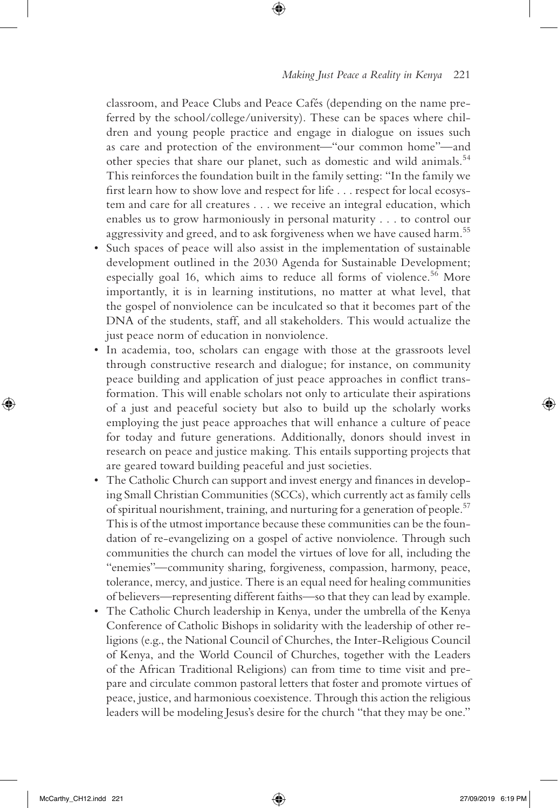#### *Making Just Peace a Reality in Kenya* 221

classroom, and Peace Clubs and Peace Cafés (depending on the name preferred by the school/college/university). These can be spaces where children and young people practice and engage in dialogue on issues such as care and protection of the environment—"our common home"—and other species that share our planet, such as domestic and wild animals.<sup>54</sup> This reinforces the foundation built in the family setting: "In the family we first learn how to show love and respect for life . . . respect for local ecosystem and care for all creatures . . . we receive an integral education, which enables us to grow harmoniously in personal maturity . . . to control our aggressivity and greed, and to ask forgiveness when we have caused harm.<sup>55</sup>

⊕

- Such spaces of peace will also assist in the implementation of sustainable development outlined in the 2030 Agenda for Sustainable Development; especially goal 16, which aims to reduce all forms of violence.<sup>56</sup> More importantly, it is in learning institutions, no matter at what level, that the gospel of nonviolence can be inculcated so that it becomes part of the DNA of the students, staff, and all stakeholders. This would actualize the just peace norm of education in nonviolence.
- In academia, too, scholars can engage with those at the grassroots level through constructive research and dialogue; for instance, on community peace building and application of just peace approaches in conflict transformation. This will enable scholars not only to articulate their aspirations of a just and peaceful society but also to build up the scholarly works employing the just peace approaches that will enhance a culture of peace for today and future generations. Additionally, donors should invest in research on peace and justice making. This entails supporting projects that are geared toward building peaceful and just societies.
- The Catholic Church can support and invest energy and finances in developing Small Christian Communities (SCCs), which currently act as family cells of spiritual nourishment, training, and nurturing for a generation of people.<sup>57</sup> This is of the utmost importance because these communities can be the foundation of re-evangelizing on a gospel of active nonviolence. Through such communities the church can model the virtues of love for all, including the "enemies"—community sharing, forgiveness, compassion, harmony, peace, tolerance, mercy, and justice. There is an equal need for healing communities of believers—representing different faiths—so that they can lead by example.
- The Catholic Church leadership in Kenya, under the umbrella of the Kenya Conference of Catholic Bishops in solidarity with the leadership of other religions (e.g., the National Council of Churches, the Inter-Religious Council of Kenya, and the World Council of Churches, together with the Leaders of the African Traditional Religions) can from time to time visit and prepare and circulate common pastoral letters that foster and promote virtues of peace, justice, and harmonious coexistence. Through this action the religious leaders will be modeling Jesus's desire for the church "that they may be one."

⊕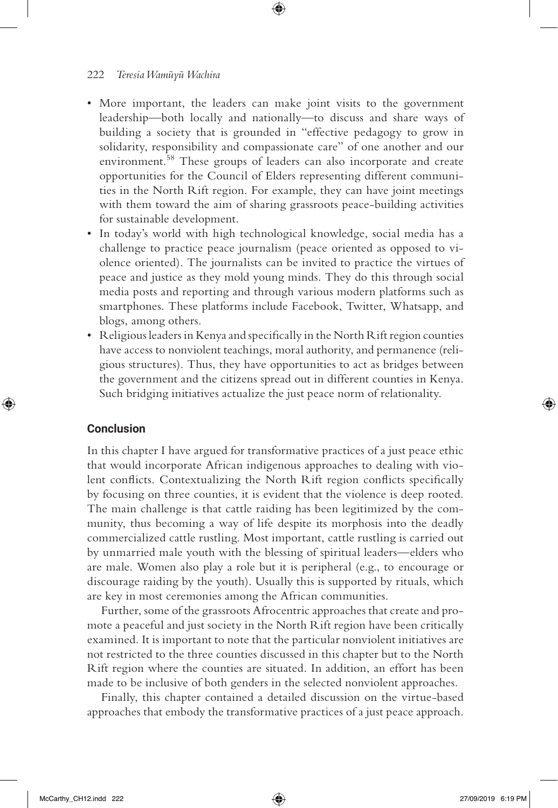• More important, the leaders can make joint visits to the government leadership—both locally and nationally—to discuss and share ways of building a society that is grounded in "effective pedagogy to grow in solidarity, responsibility and compassionate care" of one another and our environment.<sup>58</sup> These groups of leaders can also incorporate and create opportunities for the Council of Elders representing different communities in the North Rift region. For example, they can have joint meetings with them toward the aim of sharing grassroots peace-building activities for sustainable development.

⊕

- In today's world with high technological knowledge, social media has a challenge to practice peace journalism (peace oriented as opposed to violence oriented). The journalists can be invited to practice the virtues of peace and justice as they mold young minds. They do this through social media posts and reporting and through various modern platforms such as smartphones. These platforms include Facebook, Twitter, Whatsapp, and blogs, among others.
- Religious leaders in Kenya and specifically in the North Rift region counties have access to nonviolent teachings, moral authority, and permanence (religious structures). Thus, they have opportunities to act as bridges between the government and the citizens spread out in different counties in Kenya. Such bridging initiatives actualize the just peace norm of relationality.

#### **Conclusion**

⊕

In this chapter I have argued for transformative practices of a just peace ethic that would incorporate African indigenous approaches to dealing with violent conflicts. Contextualizing the North Rift region conflicts specifically by focusing on three counties, it is evident that the violence is deep rooted. The main challenge is that cattle raiding has been legitimized by the community, thus becoming a way of life despite its morphosis into the deadly commercialized cattle rustling. Most important, cattle rustling is carried out by unmarried male youth with the blessing of spiritual leaders—elders who are male. Women also play a role but it is peripheral (e.g., to encourage or discourage raiding by the youth). Usually this is supported by rituals, which are key in most ceremonies among the African communities.

Further, some of the grassroots Afrocentric approaches that create and promote a peaceful and just society in the North Rift region have been critically examined. It is important to note that the particular nonviolent initiatives are not restricted to the three counties discussed in this chapter but to the North Rift region where the counties are situated. In addition, an effort has been made to be inclusive of both genders in the selected nonviolent approaches.

Finally, this chapter contained a detailed discussion on the virtue-based approaches that embody the transformative practices of a just peace approach.

McCarthy\_CH12.indd 222 27/09/2019 6:19 PM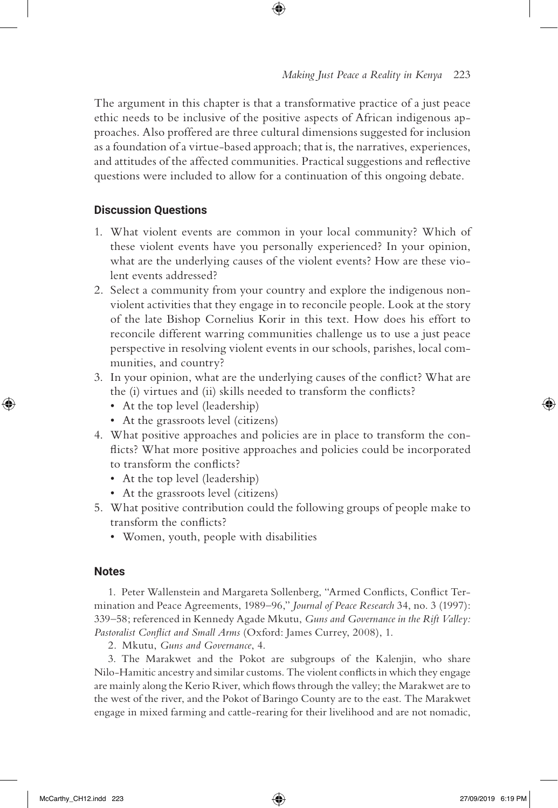The argument in this chapter is that a transformative practice of a just peace ethic needs to be inclusive of the positive aspects of African indigenous approaches. Also proffered are three cultural dimensions suggested for inclusion as a foundation of a virtue-based approach; that is, the narratives, experiences, and attitudes of the affected communities. Practical suggestions and reflective questions were included to allow for a continuation of this ongoing debate.

 $\textcircled{\scriptsize{+}}$ 

#### **Discussion Questions**

- 1. What violent events are common in your local community? Which of these violent events have you personally experienced? In your opinion, what are the underlying causes of the violent events? How are these violent events addressed?
- 2. Select a community from your country and explore the indigenous nonviolent activities that they engage in to reconcile people. Look at the story of the late Bishop Cornelius Korir in this text. How does his effort to reconcile different warring communities challenge us to use a just peace perspective in resolving violent events in our schools, parishes, local communities, and country?
- 3. In your opinion, what are the underlying causes of the conflict? What are the (i) virtues and (ii) skills needed to transform the conflicts?
	- At the top level (leadership)
	- At the grassroots level (citizens)
- 4. What positive approaches and policies are in place to transform the conflicts? What more positive approaches and policies could be incorporated to transform the conflicts?
	- At the top level (leadership)
	- At the grassroots level (citizens)
- 5. What positive contribution could the following groups of people make to transform the conflicts?
	- Women, youth, people with disabilities

#### **Notes**

⊕

1. Peter Wallenstein and Margareta Sollenberg, "Armed Conflicts, Conflict Termination and Peace Agreements, 1989–96," *Journal of Peace Research* 34, no. 3 (1997): 339–58; referenced in Kennedy Agade Mkutu, *Guns and Governance in the Rift Valley: Pastoralist Conflict and Small Arms* (Oxford: James Currey, 2008), 1.

2. Mkutu, *Guns and Governance*, 4.

3. The Marakwet and the Pokot are subgroups of the Kalenjin, who share Nilo-Hamitic ancestry and similar customs. The violent conflicts in which they engage are mainly along the Kerio River, which flows through the valley; the Marakwet are to the west of the river, and the Pokot of Baringo County are to the east. The Marakwet engage in mixed farming and cattle-rearing for their livelihood and are not nomadic,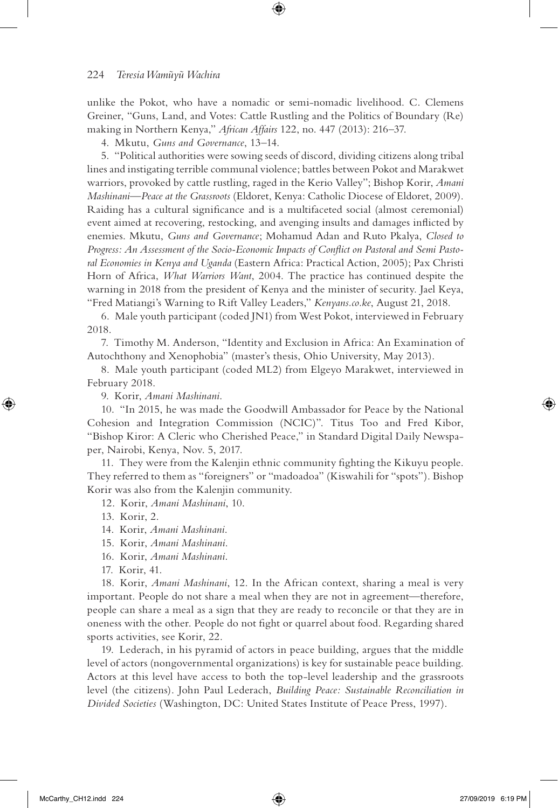unlike the Pokot, who have a nomadic or semi-nomadic livelihood. C. Clemens Greiner, "Guns, Land, and Votes: Cattle Rustling and the Politics of Boundary (Re) making in Northern Kenya," *African Affairs* 122, no. 447 (2013): 216–37.

4. Mkutu, *Guns and Governance*, 13–14.

5. "Political authorities were sowing seeds of discord, dividing citizens along tribal lines and instigating terrible communal violence; battles between Pokot and Marakwet warriors, provoked by cattle rustling, raged in the Kerio Valley"; Bishop Korir, *Amani Mashinani—Peace at the Grassroots* (Eldoret, Kenya: Catholic Diocese of Eldoret, 2009). Raiding has a cultural significance and is a multifaceted social (almost ceremonial) event aimed at recovering, restocking, and avenging insults and damages inflicted by enemies. Mkutu, *Guns and Governance*; Mohamud Adan and Ruto Pkalya, *Closed to Progress: An Assessment of the Socio-Economic Impacts of Conflict on Pastoral and Semi Pastoral Economies in Kenya and Uganda* (Eastern Africa: Practical Action, 2005); Pax Christi Horn of Africa, *What Warriors Want*, 2004. The practice has continued despite the warning in 2018 from the president of Kenya and the minister of security. Jael Keya, "Fred Matiangi's Warning to Rift Valley Leaders," *Kenyans.co.ke*, August 21, 2018.

6. Male youth participant (coded JN1) from West Pokot, interviewed in February 2018.

7. Timothy M. Anderson, "Identity and Exclusion in Africa: An Examination of Autochthony and Xenophobia" (master's thesis, Ohio University, May 2013).

8. Male youth participant (coded ML2) from Elgeyo Marakwet, interviewed in February 2018.

9. Korir, *Amani Mashinani*.

10. "In 2015, he was made the Goodwill Ambassador for Peace by the National Cohesion and Integration Commission (NCIC)". Titus Too and Fred Kibor, "Bishop Kiror: A Cleric who Cherished Peace," in Standard Digital Daily Newspaper, Nairobi, Kenya, Nov. 5, 2017.

11. They were from the Kalenjin ethnic community fighting the Kikuyu people. They referred to them as "foreigners" or "madoadoa" (Kiswahili for "spots"). Bishop Korir was also from the Kalenjin community.

12. Korir, *Amani Mashinani*, 10.

13. Korir, 2.

↔

- 14. Korir, *Amani Mashinani*.
- 15. Korir, *Amani Mashinani*.
- 16. Korir, *Amani Mashinani*.
- 17. Korir, 41.

18. Korir, *Amani Mashinani*, 12. In the African context, sharing a meal is very important. People do not share a meal when they are not in agreement—therefore, people can share a meal as a sign that they are ready to reconcile or that they are in oneness with the other. People do not fight or quarrel about food. Regarding shared sports activities, see Korir, 22.

19. Lederach, in his pyramid of actors in peace building, argues that the middle level of actors (nongovernmental organizations) is key for sustainable peace building. Actors at this level have access to both the top-level leadership and the grassroots level (the citizens). John Paul Lederach, *Building Peace: Sustainable Reconciliation in Divided Societies* (Washington, DC: United States Institute of Peace Press, 1997).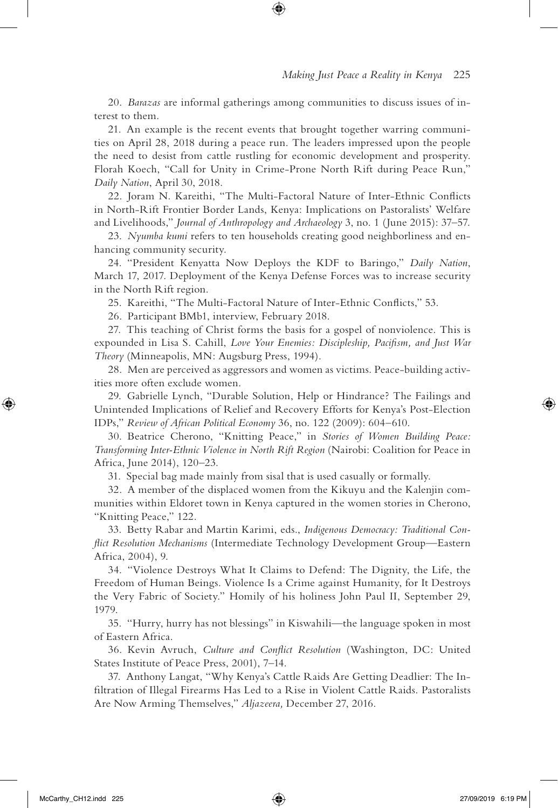20. *Barazas* are informal gatherings among communities to discuss issues of interest to them.

⊕

21. An example is the recent events that brought together warring communities on April 28, 2018 during a peace run. The leaders impressed upon the people the need to desist from cattle rustling for economic development and prosperity. Florah Koech, "Call for Unity in Crime-Prone North Rift during Peace Run," *Daily Nation*, April 30, 2018.

22. Joram N. Kareithi, "The Multi-Factoral Nature of Inter-Ethnic Conflicts in North-Rift Frontier Border Lands, Kenya: Implications on Pastoralists' Welfare and Livelihoods," *Journal of Anthropology and Archaeology* 3, no. 1 (June 2015): 37–57.

23. *Nyumba kumi* refers to ten households creating good neighborliness and enhancing community security.

24. "President Kenyatta Now Deploys the KDF to Baringo," *Daily Nation*, March 17, 2017. Deployment of the Kenya Defense Forces was to increase security in the North Rift region.

25. Kareithi, "The Multi-Factoral Nature of Inter-Ethnic Conflicts," 53.

26. Participant BMb1, interview, February 2018.

27. This teaching of Christ forms the basis for a gospel of nonviolence. This is expounded in Lisa S. Cahill, *Love Your Enemies: Discipleship, Pacifism, and Just War Theory* (Minneapolis, MN: Augsburg Press, 1994).

28. Men are perceived as aggressors and women as victims. Peace-building activities more often exclude women.

29. Gabrielle Lynch, "Durable Solution, Help or Hindrance? The Failings and Unintended Implications of Relief and Recovery Efforts for Kenya's Post-Election IDPs," *Review of African Political Economy* 36, no. 122 (2009): 604–610.

30. Beatrice Cherono, "Knitting Peace," in *Stories of Women Building Peace: Transforming Inter-Ethnic Violence in North Rift Region* (Nairobi: Coalition for Peace in Africa, June 2014), 120–23.

31. Special bag made mainly from sisal that is used casually or formally.

32. A member of the displaced women from the Kikuyu and the Kalenjin communities within Eldoret town in Kenya captured in the women stories in Cherono, "Knitting Peace," 122.

33. Betty Rabar and Martin Karimi, eds., *Indigenous Democracy: Traditional Conflict Resolution Mechanisms* (Intermediate Technology Development Group—Eastern Africa, 2004), 9.

34. "Violence Destroys What It Claims to Defend: The Dignity, the Life, the Freedom of Human Beings. Violence Is a Crime against Humanity, for It Destroys the Very Fabric of Society." Homily of his holiness John Paul II, September 29, 1979.

35. "Hurry, hurry has not blessings" in Kiswahili—the language spoken in most of Eastern Africa.

36. Kevin Avruch, *Culture and Conflict Resolution* (Washington, DC: United States Institute of Peace Press, 2001), 7–14.

37. Anthony Langat, "Why Kenya's Cattle Raids Are Getting Deadlier: The Infiltration of Illegal Firearms Has Led to a Rise in Violent Cattle Raids. Pastoralists Are Now Arming Themselves," *Aljazeera,* December 27, 2016.

⊕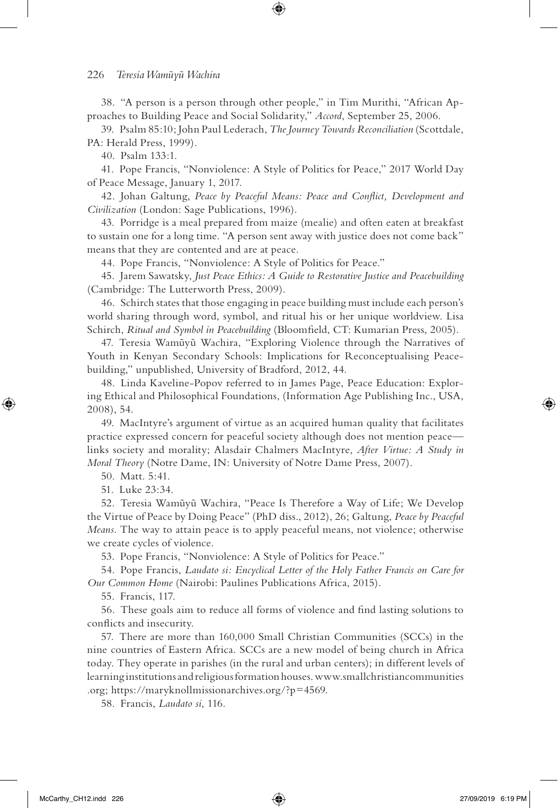38. "A person is a person through other people," in Tim Murithi, "African Approaches to Building Peace and Social Solidarity," *Accord*, September 25, 2006.

⊕

39. Psalm 85:10; John Paul Lederach, *The Journey Towards Reconciliation* (Scottdale, PA: Herald Press, 1999).

40. Psalm 133:1.

41. Pope Francis, "Nonviolence: A Style of Politics for Peace," 2017 World Day of Peace Message, January 1, 2017.

42. Johan Galtung, *Peace by Peaceful Means: Peace and Conflict, Development and Civilization* (London: Sage Publications, 1996).

43. Porridge is a meal prepared from maize (mealie) and often eaten at breakfast to sustain one for a long time. "A person sent away with justice does not come back" means that they are contented and are at peace.

44. Pope Francis, "Nonviolence: A Style of Politics for Peace."

45. Jarem Sawatsky, *Just Peace Ethics: A Guide to Restorative Justice and Peacebuilding* (Cambridge: The Lutterworth Press, 2009).

46. Schirch states that those engaging in peace building must include each person's world sharing through word, symbol, and ritual his or her unique worldview. Lisa Schirch, *Ritual and Symbol in Peacebuilding* (Bloomfield, CT: Kumarian Press, 2005).

47. Teresia Wamūyū Wachira, "Exploring Violence through the Narratives of Youth in Kenyan Secondary Schools: Implications for Reconceptualising Peacebuilding," unpublished, University of Bradford, 2012, 44.

48. Linda Kaveline-Popov referred to in James Page, Peace Education: Exploring Ethical and Philosophical Foundations, (Information Age Publishing Inc., USA, 2008), 54.

49. MacIntyre's argument of virtue as an acquired human quality that facilitates practice expressed concern for peaceful society although does not mention peace links society and morality; Alasdair Chalmers MacIntyre, *After Virtue: A Study in Moral Theory* (Notre Dame, IN: University of Notre Dame Press, 2007).

50. Matt. 5:41.

↔

51. Luke 23:34.

52. Teresia Wamūyū Wachira, "Peace Is Therefore a Way of Life; We Develop the Virtue of Peace by Doing Peace" (PhD diss., 2012), 26; Galtung, *Peace by Peaceful Means*. The way to attain peace is to apply peaceful means, not violence; otherwise we create cycles of violence.

53. Pope Francis, "Nonviolence: A Style of Politics for Peace."

54. Pope Francis, *Laudato si: Encyclical Letter of the Holy Father Francis on Care for Our Common Home* (Nairobi: Paulines Publications Africa, 2015).

55. Francis, 117.

56. These goals aim to reduce all forms of violence and find lasting solutions to conflicts and insecurity.

57. There are more than 160,000 Small Christian Communities (SCCs) in the nine countries of Eastern Africa. SCCs are a new model of being church in Africa today. They operate in parishes (in the rural and urban centers); in different levels of learning institutions and religious formation houses. www.smallchristiancommunities .org; https://maryknollmissionarchives.org/?p=4569.

58. Francis, *Laudato si*, 116.